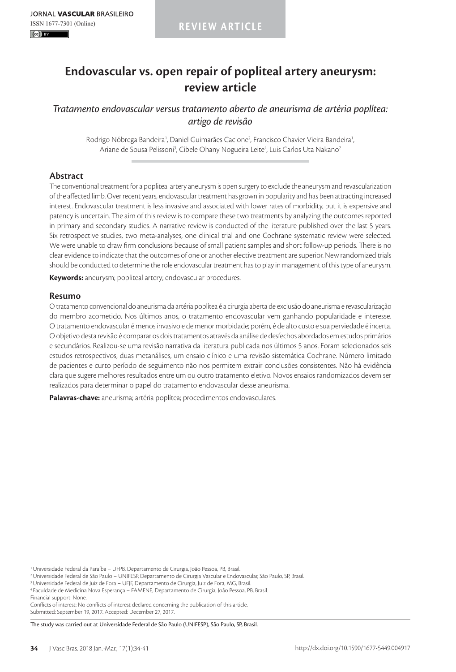# **Endovascular vs. open repair of popliteal artery aneurysm: review article**

## *Tratamento endovascular versus tratamento aberto de aneurisma de artéria poplítea: artigo de revisão*

Rodrigo Nóbrega Bandeira<sup>1</sup>, Daniel Guimarães Cacione<sup>2</sup>, Francisco Chavier Vieira Bandeira<sup>1</sup>, Ariane de Sousa Pelissoni<sup>3</sup>, Cibele Ohany Nogueira Leite<sup>4</sup>, Luis Carlos Uta Nakano<sup>2</sup>

## **Abstract**

The conventional treatment for a popliteal artery aneurysm is open surgery to exclude the aneurysm and revascularization of the affected limb. Over recent years, endovascular treatment has grown in popularity and has been attracting increased interest. Endovascular treatment is less invasive and associated with lower rates of morbidity, but it is expensive and patency is uncertain. The aim of this review is to compare these two treatments by analyzing the outcomes reported in primary and secondary studies. A narrative review is conducted of the literature published over the last 5 years. Six retrospective studies, two meta-analyses, one clinical trial and one Cochrane systematic review were selected. We were unable to draw firm conclusions because of small patient samples and short follow-up periods. There is no clear evidence to indicate that the outcomes of one or another elective treatment are superior. New randomized trials should be conducted to determine the role endovascular treatment has to play in management of this type of aneurysm.

**Keywords:** aneurysm; popliteal artery; endovascular procedures.

## **Resumo**

O tratamento convencional do aneurisma da artéria poplítea é a cirurgia aberta de exclusão do aneurisma e revascularização do membro acometido. Nos últimos anos, o tratamento endovascular vem ganhando popularidade e interesse. O tratamento endovascular é menos invasivo e de menor morbidade; porém, é de alto custo e sua perviedade é incerta. O objetivo desta revisão é comparar os dois tratamentos através da análise de desfechos abordados em estudos primários e secundários. Realizou-se uma revisão narrativa da literatura publicada nos últimos 5 anos. Foram selecionados seis estudos retrospectivos, duas metanálises, um ensaio clínico e uma revisão sistemática Cochrane. Número limitado de pacientes e curto período de seguimento não nos permitem extrair conclusões consistentes. Não há evidência clara que sugere melhores resultados entre um ou outro tratamento eletivo. Novos ensaios randomizados devem ser realizados para determinar o papel do tratamento endovascular desse aneurisma.

**Palavras-chave:** aneurisma; artéria poplítea; procedimentos endovasculares.

Financial support: None.

Conflicts of interest: No conflicts of interest declared concerning the publication of this article. Submitted: September 19, 2017. Accepted: December 27, 2017.

The study was carried out at Universidade Federal de São Paulo (UNIFESP), São Paulo, SP, Brasil.

<sup>&</sup>lt;sup>1</sup> Universidade Federal da Paraíba - UFPB, Departamento de Cirurgia, João Pessoa, PB, Brasil.

<sup>2</sup>Universidade Federal de São Paulo – UNIFESP, Departamento de Cirurgia Vascular e Endovascular, São Paulo, SP, Brasil.

<sup>&</sup>lt;sup>3</sup> Universidade Federal de Juiz de Fora - UFJF, Departamento de Cirurgia, Juiz de Fora, MG, Brasil.

<sup>4</sup> Faculdade de Medicina Nova Esperança – FAMENE, Departamento de Cirurgia, João Pessoa, PB, Brasil.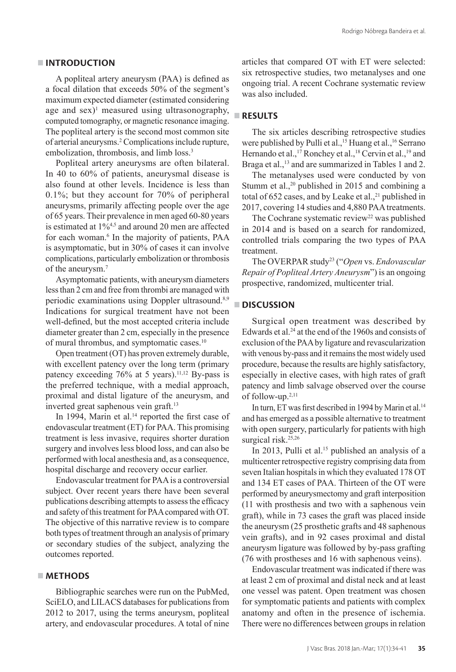## **INTRODUCTION**

A popliteal artery aneurysm (PAA) is defined as a focal dilation that exceeds 50% of the segment's maximum expected diameter (estimated considering age and  $sex$ <sup>1</sup> measured using ultrasonography, computed tomography, or magnetic resonance imaging. The popliteal artery is the second most common site of arterial aneurysms.2 Complications include rupture, embolization, thrombosis, and limb loss.<sup>3</sup>

Popliteal artery aneurysms are often bilateral. In 40 to 60% of patients, aneurysmal disease is also found at other levels. Incidence is less than 0.1%; but they account for 70% of peripheral aneurysms, primarily affecting people over the age of 65 years. Their prevalence in men aged 60-80 years is estimated at 1%4,5 and around 20 men are affected for each woman.<sup>6</sup> In the majority of patients, PAA is asymptomatic, but in 30% of cases it can involve complications, particularly embolization or thrombosis of the aneurysm.7

Asymptomatic patients, with aneurysm diameters less than 2 cm and free from thrombi are managed with periodic examinations using Doppler ultrasound.<sup>8,9</sup> Indications for surgical treatment have not been well-defined, but the most accepted criteria include diameter greater than 2 cm, especially in the presence of mural thrombus, and symptomatic cases.10

Open treatment (OT) has proven extremely durable, with excellent patency over the long term (primary patency exceeding  $76%$  at 5 years).<sup>11,12</sup> By-pass is the preferred technique, with a medial approach, proximal and distal ligature of the aneurysm, and inverted great saphenous vein graft.<sup>13</sup>

In 1994, Marin et al.<sup>14</sup> reported the first case of endovascular treatment (ET) for PAA. This promising treatment is less invasive, requires shorter duration surgery and involves less blood loss, and can also be performed with local anesthesia and, as a consequence, hospital discharge and recovery occur earlier.

Endovascular treatment for PAA is a controversial subject. Over recent years there have been several publications describing attempts to assess the efficacy and safety of this treatment for PAA compared with OT. The objective of this narrative review is to compare both types of treatment through an analysis of primary or secondary studies of the subject, analyzing the outcomes reported.

## **METHODS**

Bibliographic searches were run on the PubMed, SciELO, and LILACS databases for publications from 2012 to 2017, using the terms aneurysm, popliteal artery, and endovascular procedures. A total of nine

articles that compared OT with ET were selected: six retrospective studies, two metanalyses and one ongoing trial. A recent Cochrane systematic review was also included.

## **RESULTS**

The six articles describing retrospective studies were published by Pulli et al.,<sup>15</sup> Huang et al.,<sup>16</sup> Serrano Hernando et al.,<sup>17</sup> Ronchey et al.,<sup>18</sup> Cervin et al.,<sup>19</sup> and Braga et al.,<sup>13</sup> and are summarized in Tables 1 and 2.

The metanalyses used were conducted by von Stumm et al.,<sup>20</sup> published in 2015 and combining a total of 652 cases, and by Leake et al.,<sup>21</sup> published in 2017, covering 14 studies and 4,880 PAA treatments.

The Cochrane systematic review<sup>22</sup> was published in 2014 and is based on a search for randomized, controlled trials comparing the two types of PAA treatment.

The OVERPAR study23 ("*Open* vs. *Endovascular Repair of Popliteal Artery Aneurysm*") is an ongoing prospective, randomized, multicenter trial.

#### **DISCUSSION**

Surgical open treatment was described by Edwards et al.<sup>24</sup> at the end of the 1960s and consists of exclusion of the PAA by ligature and revascularization with venous by-pass and it remains the most widely used procedure, because the results are highly satisfactory, especially in elective cases, with high rates of graft patency and limb salvage observed over the course of follow-up.2,11

In turn, ET was first described in 1994 by Marin et al.<sup>14</sup> and has emerged as a possible alternative to treatment with open surgery, particularly for patients with high surgical risk.<sup>25,26</sup>

In 2013, Pulli et al.<sup>15</sup> published an analysis of a multicenter retrospective registry comprising data from seven Italian hospitals in which they evaluated 178 OT and 134 ET cases of PAA. Thirteen of the OT were performed by aneurysmectomy and graft interposition (11 with prosthesis and two with a saphenous vein graft), while in 73 cases the graft was placed inside the aneurysm (25 prosthetic grafts and 48 saphenous vein grafts), and in 92 cases proximal and distal aneurysm ligature was followed by by-pass grafting (76 with prostheses and 16 with saphenous veins).

Endovascular treatment was indicated if there was at least 2 cm of proximal and distal neck and at least one vessel was patent. Open treatment was chosen for symptomatic patients and patients with complex anatomy and often in the presence of ischemia. There were no differences between groups in relation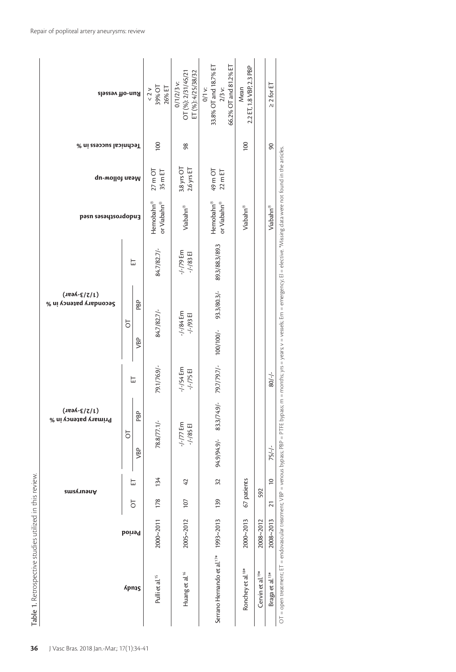| Hemobahn®<br>pəsn səsəyiso.dopu3<br>84.7/82.7/-<br>늡<br>$(1/2/3$ -year)<br>% иј Лоиатед Утвриоо з<br>PBP<br>84.7/82.7/-<br>5<br>VBP<br>79.1/76.9/-<br>E<br>$(164 - 5)$<br>PBP<br>Primary patency in %<br>78.8/77.1/-<br>5 |  | Run-off vesels<br>Technical success in %<br>Mean follow-up |              |  | 39% OT<br>< 2v<br>$\overline{100}$<br>$27m$ OT | 26% ET<br>35 m E | $0/1/2/3$ v:<br>98<br>3.8 yrs OT<br>2.6 yrs ET | $0/1$ v:<br>$2/3$ v:<br>49 m OT<br>22 m E        | Mean<br>100                   | 66.2% OT and 81.2% ET<br>33.8% OT and 18.7% ET<br>2.2 ET, 1.8 VBP, 2.3 PBP<br>ET (%): 4/25/38/32<br>OT (%): 2/31/45/21 |
|---------------------------------------------------------------------------------------------------------------------------------------------------------------------------------------------------------------------------|--|------------------------------------------------------------|--------------|--|------------------------------------------------|------------------|------------------------------------------------|--------------------------------------------------|-------------------------------|------------------------------------------------------------------------------------------------------------------------|
|                                                                                                                                                                                                                           |  |                                                            |              |  | or Viabahn®                                    |                  | Viabahn®                                       | Hemobahn®<br>or Viabahn®                         | Viabahn®                      |                                                                                                                        |
|                                                                                                                                                                                                                           |  |                                                            |              |  |                                                |                  | $-/-/79$ Em<br>$-/-/83$ EI                     | 89.3/88.3/89.3                                   |                               |                                                                                                                        |
|                                                                                                                                                                                                                           |  |                                                            |              |  |                                                |                  | $-1 - 184$ Em<br>$-/-/93$ El                   | 93.3/80.3/-                                      |                               |                                                                                                                        |
|                                                                                                                                                                                                                           |  |                                                            |              |  |                                                |                  |                                                |                                                  |                               |                                                                                                                        |
|                                                                                                                                                                                                                           |  |                                                            |              |  |                                                |                  | $-1 - 154$ Em<br>$-/-/75$ El                   |                                                  |                               |                                                                                                                        |
|                                                                                                                                                                                                                           |  |                                                            |              |  |                                                |                  | $-1$ -/77 Em<br>$-/-/85$ EI                    | $(94.9/-$ 83.3/74.9/- 79.7/79.7/- 100/100/-      |                               |                                                                                                                        |
|                                                                                                                                                                                                                           |  | Aneurysms                                                  | 늡            |  | 134                                            |                  | 42                                             | 32                                               | 67 patients                   | 592                                                                                                                    |
|                                                                                                                                                                                                                           |  |                                                            |              |  | 178                                            |                  | 107                                            | 139                                              |                               |                                                                                                                        |
| 5                                                                                                                                                                                                                         |  |                                                            |              |  | 2000~2011                                      |                  | 2005~2012                                      |                                                  | 2000~2013                     | 2008~2012                                                                                                              |
| <b>Doined</b>                                                                                                                                                                                                             |  |                                                            | <b>Apnas</b> |  | Pullietal. <sup>15</sup>                       |                  | Huang et al. <sup>16</sup>                     | Serrano Hernando et al. <sup>17*</sup> 1993~2013 | Ronchey et al. <sup>18*</sup> | Cervin et al. <sup>19*</sup>                                                                                           |

ರ<br>ಅ  $\frac{5}{20}$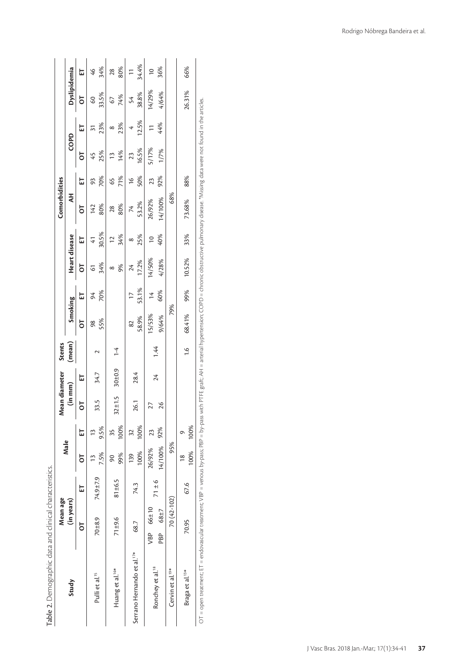|                                                         |                         | Dyslipidemia  | E              | 46   | 34%        | 28             | 80%        | $\overline{=}$ | 34.4%                                  | $\approx$     | 36%          |               | 66%           |      |
|---------------------------------------------------------|-------------------------|---------------|----------------|------|------------|----------------|------------|----------------|----------------------------------------|---------------|--------------|---------------|---------------|------|
|                                                         |                         |               | $\overline{5}$ | 8    | 33.5%      | 67             | 74%        | 54             | 38.8%                                  | 14/29%        | 4/64%        |               | 26.31%        |      |
|                                                         |                         | COPD          | 5              |      | 23%        | ∞              | 23%        |                | 12.5%                                  | $\equiv$      | 44%          |               |               |      |
|                                                         |                         |               | $\overline{5}$ | 45   | 25%        | $\tilde{c}$    | 14%        | 23             | 16.5%                                  | 5/17%         | 1/7%         |               |               |      |
|                                                         |                         |               | F,             | 93   | 70%        | 65             | 71%        | $\frac{6}{2}$  | 50%                                    | 23            | 92%          |               | 88%           |      |
|                                                         | Comorbidities           | ₹             | $\overline{5}$ | 142  | 80%        | 28             | 80%        | 74             | 53.2%                                  | 26/92%        | 14/100%      | 68%           | 73.68%        |      |
|                                                         |                         |               | E,             |      | 30.5%      | $\overline{c}$ | 34%        | ∞              | 25%                                    | $\approx$     | 40%          |               | 33%           |      |
|                                                         |                         | Heart disease | $\overline{5}$ | ò    | 34%        | ∞              | 9%         | 24             | 17.2%                                  | 14/50%        | 4/28%        |               | 10.52%        |      |
|                                                         |                         |               | E,             | 94   | 70%        |                |            | $\overline{1}$ | 53.1%                                  | $\frac{4}{5}$ | 60%          |               | 99%           |      |
|                                                         |                         | Smoking       | $\overline{5}$ | 98   | 55%        |                |            | 82             | 58.9%                                  | 15/53%        | 9/64%        | 79%           | 68.41%        |      |
|                                                         | (mean)<br><b>Stents</b> |               |                |      | $1-4$      |                |            |                | 1.44                                   |               |              | $\frac{6}{1}$ |               |      |
|                                                         | Mean diameter           |               | F.             | 34.7 |            | $30 + 0.9$     |            | 28.4           |                                        | 24            |              |               |               |      |
|                                                         |                         | (in mm)       | $\overline{5}$ |      | 33.5       |                | $32 + 1.5$ | 26.1           |                                        |               | 26           |               |               |      |
|                                                         |                         |               | F              | ⋍    | 9.5%       | 35             | 100%       | 32             | 100%                                   | 23            | 92%          |               |               | 100% |
|                                                         |                         | Male          | ≍              |      | 7.5%       | 90             | 99%        | 39             | 100%                                   | 26/92%        | 100%<br>14/1 | 95%           | $\frac{8}{2}$ | 100% |
|                                                         |                         |               | ᆸ              |      | 74.9±7.9   |                | $81 + 6.5$ |                | 74.3                                   | $71 \pm 6$    |              |               | 67.6          |      |
| Table 2. Demographic data and clinical characteristics. | Mean age                | (in years)    | ō              |      | $70 + 8.9$ |                | 71±9.6     | 68.7           |                                        | VBP 66±10     | PBP 68±7     | 70 (42-102)   | 70.95         |      |
|                                                         |                         |               |                |      |            |                |            |                | Serrano Hernando et al. <sup>17*</sup> |               |              |               |               |      |

OT = open treatment; ET = endovascular treatment; VBP = venous by-pass with PTFE graft; AH = arterial hypertension; COPD = chronic obstructive pulmonary disease. "Missing data were not found in the articles. OT = open treatment; VBP = venous by-pass; PBP = by-pass with PTFE graft; AH = arterial hypertension; COPD = chronic obstructive pulmonary disease. \*Missing data were not found in the articles.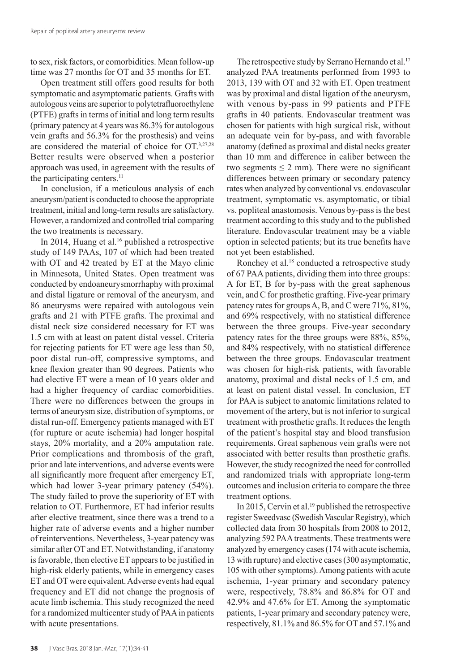to sex, risk factors, or comorbidities. Mean follow-up time was 27 months for OT and 35 months for ET.

Open treatment still offers good results for both symptomatic and asymptomatic patients. Grafts with autologous veins are superior to polytetrafluoroethylene (PTFE) grafts in terms of initial and long term results (primary patency at 4 years was 86.3% for autologous vein grafts and 56.3% for the prosthesis) and veins are considered the material of choice for OT.3,27,28 Better results were observed when a posterior approach was used, in agreement with the results of the participating centers.<sup>11</sup>

In conclusion, if a meticulous analysis of each aneurysm/patient is conducted to choose the appropriate treatment, initial and long-term results are satisfactory. However, a randomized and controlled trial comparing the two treatments is necessary.

In 2014, Huang et al.<sup>16</sup> published a retrospective study of 149 PAAs, 107 of which had been treated with OT and 42 treated by ET at the Mayo clinic in Minnesota, United States. Open treatment was conducted by endoaneurysmorrhaphy with proximal and distal ligature or removal of the aneurysm, and 86 aneurysms were repaired with autologous vein grafts and 21 with PTFE grafts. The proximal and distal neck size considered necessary for ET was 1.5 cm with at least on patent distal vessel. Criteria for rejecting patients for ET were age less than 50, poor distal run-off, compressive symptoms, and knee flexion greater than 90 degrees. Patients who had elective ET were a mean of 10 years older and had a higher frequency of cardiac comorbidities. There were no differences between the groups in terms of aneurysm size, distribution of symptoms, or distal run-off. Emergency patients managed with ET (for rupture or acute ischemia) had longer hospital stays, 20% mortality, and a 20% amputation rate. Prior complications and thrombosis of the graft, prior and late interventions, and adverse events were all significantly more frequent after emergency ET, which had lower 3-year primary patency (54%). The study failed to prove the superiority of ET with relation to OT. Furthermore, ET had inferior results after elective treatment, since there was a trend to a higher rate of adverse events and a higher number of reinterventions. Nevertheless, 3-year patency was similar after OT and ET. Notwithstanding, if anatomy is favorable, then elective ET appears to be justified in high-risk elderly patients, while in emergency cases ET and OT were equivalent. Adverse events had equal frequency and ET did not change the prognosis of acute limb ischemia. This study recognized the need for a randomized multicenter study of PAA in patients with acute presentations.

The retrospective study by Serrano Hernando et al.<sup>17</sup> analyzed PAA treatments performed from 1993 to 2013, 139 with OT and 32 with ET. Open treatment was by proximal and distal ligation of the aneurysm, with venous by-pass in 99 patients and PTFE grafts in 40 patients. Endovascular treatment was chosen for patients with high surgical risk, without an adequate vein for by-pass, and with favorable anatomy (defined as proximal and distal necks greater than 10 mm and difference in caliber between the two segments  $\leq 2$  mm). There were no significant differences between primary or secondary patency rates when analyzed by conventional vs. endovascular treatment, symptomatic vs. asymptomatic, or tibial vs. popliteal anastomosis. Venous by-pass is the best treatment according to this study and to the published literature. Endovascular treatment may be a viable option in selected patients; but its true benefits have not yet been established.

Ronchey et al.<sup>18</sup> conducted a retrospective study of 67 PAA patients, dividing them into three groups: A for ET, B for by-pass with the great saphenous vein, and C for prosthetic grafting. Five-year primary patency rates for groups A, B, and C were 71%, 81%, and 69% respectively, with no statistical difference between the three groups. Five-year secondary patency rates for the three groups were 88%, 85%, and 84% respectively, with no statistical difference between the three groups. Endovascular treatment was chosen for high-risk patients, with favorable anatomy, proximal and distal necks of 1.5 cm, and at least on patent distal vessel. In conclusion, ET for PAA is subject to anatomic limitations related to movement of the artery, but is not inferior to surgical treatment with prosthetic grafts. It reduces the length of the patient's hospital stay and blood transfusion requirements. Great saphenous vein grafts were not associated with better results than prosthetic grafts. However, the study recognized the need for controlled and randomized trials with appropriate long-term outcomes and inclusion criteria to compare the three treatment options.

In 2015, Cervin et al.<sup>19</sup> published the retrospective register Sweedvasc (Swedish Vascular Registry), which collected data from 30 hospitals from 2008 to 2012, analyzing 592 PAA treatments. These treatments were analyzed by emergency cases (174 with acute ischemia, 13 with rupture) and elective cases (300 asymptomatic, 105 with other symptoms). Among patients with acute ischemia, 1-year primary and secondary patency were, respectively, 78.8% and 86.8% for OT and 42.9% and 47.6% for ET. Among the symptomatic patients, 1-year primary and secondary patency were, respectively, 81.1% and 86.5% for OT and 57.1% and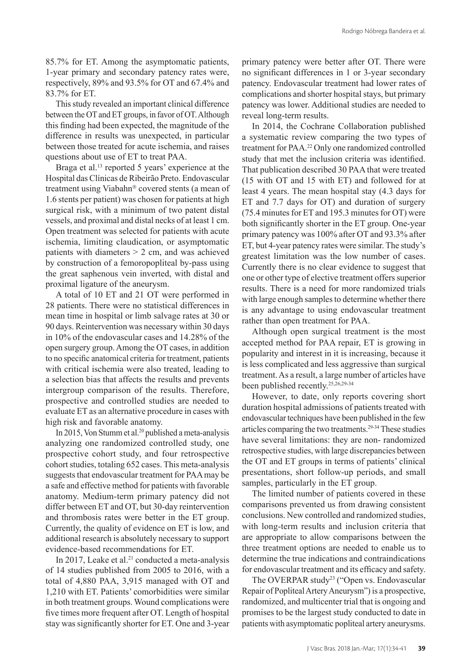85.7% for ET. Among the asymptomatic patients, 1-year primary and secondary patency rates were, respectively, 89% and 93.5% for OT and 67.4% and 83.7% for ET.

This study revealed an important clinical difference between the OT and ET groups, in favor of OT. Although this finding had been expected, the magnitude of the difference in results was unexpected, in particular between those treated for acute ischemia, and raises questions about use of ET to treat PAA.

Braga et al.<sup>13</sup> reported 5 years' experience at the Hospital das Clínicas de Ribeirão Preto. Endovascular treatment using Viabahn® covered stents (a mean of 1.6 stents per patient) was chosen for patients at high surgical risk, with a minimum of two patent distal vessels, and proximal and distal necks of at least 1 cm. Open treatment was selected for patients with acute ischemia, limiting claudication, or asymptomatic patients with diameters  $> 2$  cm, and was achieved by construction of a femoropopliteal by-pass using the great saphenous vein inverted, with distal and proximal ligature of the aneurysm.

A total of 10 ET and 21 OT were performed in 28 patients. There were no statistical differences in mean time in hospital or limb salvage rates at 30 or 90 days. Reintervention was necessary within 30 days in 10% of the endovascular cases and 14.28% of the open surgery group. Among the OT cases, in addition to no specific anatomical criteria for treatment, patients with critical ischemia were also treated, leading to a selection bias that affects the results and prevents intergroup comparison of the results. Therefore, prospective and controlled studies are needed to evaluate ET as an alternative procedure in cases with high risk and favorable anatomy.

In 2015, Von Stumm et al.<sup>20</sup> published a meta-analysis analyzing one randomized controlled study, one prospective cohort study, and four retrospective cohort studies, totaling 652 cases. This meta-analysis suggests that endovascular treatment for PAA may be a safe and effective method for patients with favorable anatomy. Medium-term primary patency did not differ between ET and OT, but 30-day reintervention and thrombosis rates were better in the ET group. Currently, the quality of evidence on ET is low, and additional research is absolutely necessary to support evidence-based recommendations for ET.

In 2017, Leake et al.<sup>21</sup> conducted a meta-analysis of 14 studies published from 2005 to 2016, with a total of 4,880 PAA, 3,915 managed with OT and 1,210 with ET. Patients' comorbidities were similar in both treatment groups. Wound complications were five times more frequent after OT. Length of hospital stay was significantly shorter for ET. One and 3-year

primary patency were better after OT. There were no significant differences in 1 or 3-year secondary patency. Endovascular treatment had lower rates of complications and shorter hospital stays, but primary patency was lower. Additional studies are needed to reveal long-term results.

In 2014, the Cochrane Collaboration published a systematic review comparing the two types of treatment for PAA.22 Only one randomized controlled study that met the inclusion criteria was identified. That publication described 30 PAA that were treated (15 with OT and 15 with ET) and followed for at least 4 years. The mean hospital stay (4.3 days for ET and 7.7 days for OT) and duration of surgery (75.4 minutes for ET and 195.3 minutes for OT) were both significantly shorter in the ET group. One-year primary patency was 100% after OT and 93.3% after ET, but 4-year patency rates were similar. The study's greatest limitation was the low number of cases. Currently there is no clear evidence to suggest that one or other type of elective treatment offers superior results. There is a need for more randomized trials with large enough samples to determine whether there is any advantage to using endovascular treatment rather than open treatment for PAA.

Although open surgical treatment is the most accepted method for PAA repair, ET is growing in popularity and interest in it is increasing, because it is less complicated and less aggressive than surgical treatment. As a result, a large number of articles have been published recently.25,26,29-34

However, to date, only reports covering short duration hospital admissions of patients treated with endovascular techniques have been published in the few articles comparing the two treatments.29-34 These studies have several limitations: they are non- randomized retrospective studies, with large discrepancies between the OT and ET groups in terms of patients' clinical presentations, short follow-up periods, and small samples, particularly in the ET group.

The limited number of patients covered in these comparisons prevented us from drawing consistent conclusions. New controlled and randomized studies, with long-term results and inclusion criteria that are appropriate to allow comparisons between the three treatment options are needed to enable us to determine the true indications and contraindications for endovascular treatment and its efficacy and safety.

The OVERPAR study<sup>23</sup> ("Open vs. Endovascular Repair of Popliteal Artery Aneurysm") is a prospective, randomized, and multicenter trial that is ongoing and promises to be the largest study conducted to date in patients with asymptomatic popliteal artery aneurysms.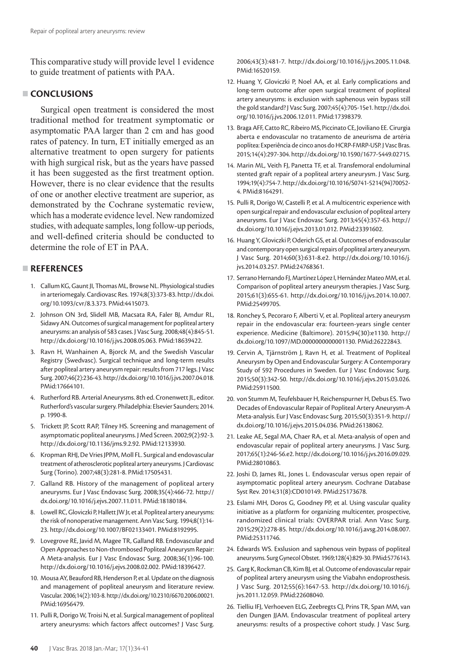This comparative study will provide level 1 evidence to guide treatment of patients with PAA.

## **CONCLUSIONS**

Surgical open treatment is considered the most traditional method for treatment symptomatic or asymptomatic PAA larger than 2 cm and has good rates of patency. In turn, ET initially emerged as an alternative treatment to open surgery for patients with high surgical risk, but as the years have passed it has been suggested as the first treatment option. However, there is no clear evidence that the results of one or another elective treatment are superior, as demonstrated by the Cochrane systematic review, which has a moderate evidence level. New randomized studies, with adequate samples, long follow-up periods, and well-defined criteria should be conducted to determine the role of ET in PAA.

## **REFERENCES**

- 1. Callum KG, Gaunt JI, Thomas ML, Browse NL. Physiological studies in arteriomegaly. Cardiovasc Res. 1974;8(3):373-83. [http://dx.doi.](https://doi.org/10.1093/cvr/8.3.373) [org/10.1093/cvr/8.3.373](https://doi.org/10.1093/cvr/8.3.373). [PMid:4415073.](https://www.ncbi.nlm.nih.gov/entrez/query.fcgi?cmd=Retrieve&db=PubMed&list_uids=4415073&dopt=Abstract)
- 2. Johnson ON 3rd, Slidell MB, Macsata RA, Faler BJ, Amdur RL, Sidawy AN. Outcomes of surgical management for popliteal artery aneurysms: an analysis of 583 cases. J Vasc Surg. 2008;48(4):845-51. [http://dx.doi.org/10.1016/j.jvs.2008.05.063](https://doi.org/10.1016/j.jvs.2008.05.063). [PMid:18639422.](https://www.ncbi.nlm.nih.gov/entrez/query.fcgi?cmd=Retrieve&db=PubMed&list_uids=18639422&dopt=Abstract)
- 3. Ravn H, Wanhainen A, Bjorck M, and the Swedish Vascular Registry (Swedvasc). Surgical technique and long-term results after popliteal artery aneurysm repair: results from 717 legs. J Vasc Surg. 2007;46(2):236-43. [http://dx.doi.org/10.1016/j.jvs.2007.04.018](https://doi.org/10.1016/j.jvs.2007.04.018). [PMid:17664101.](https://www.ncbi.nlm.nih.gov/entrez/query.fcgi?cmd=Retrieve&db=PubMed&list_uids=17664101&dopt=Abstract)
- 4. Rutherford RB. Arterial Aneurysms. 8th ed. Cronenwett JL, editor. Rutherford's vascular surgery. Philadelphia: Elsevier Saunders; 2014. p. 1990-8.
- 5. Trickett JP, Scott RAP, Tilney HS. Screening and management of asymptomatic popliteal aneurysms. J Med Screen. 2002;9(2):92-3. [http://dx.doi.org/10.1136/jms.9.2.92.](https://doi.org/10.1136/jms.9.2.92) [PMid:12133930.](https://www.ncbi.nlm.nih.gov/entrez/query.fcgi?cmd=Retrieve&db=PubMed&list_uids=12133930&dopt=Abstract)
- 6. Kropman RHJ, De Vries JPPM, Moll FL. Surgical and endovascular treatment of atherosclerotic popliteal artery aneurysms. J Cardiovasc Surg (Torino). 2007;48(3):281-8. [PMid:17505431.](https://www.ncbi.nlm.nih.gov/entrez/query.fcgi?cmd=Retrieve&db=PubMed&list_uids=17505431&dopt=Abstract)
- 7. Galland RB. History of the management of popliteal artery aneurysms. Eur J Vasc Endovasc Surg. 2008;35(4):466-72. [http://](https://doi.org/10.1016/j.ejvs.2007.11.011) [dx.doi.org/10.1016/j.ejvs.2007.11.011](https://doi.org/10.1016/j.ejvs.2007.11.011). [PMid:18180184.](https://www.ncbi.nlm.nih.gov/entrez/query.fcgi?cmd=Retrieve&db=PubMed&list_uids=18180184&dopt=Abstract)
- 8. Lowell RC, Gloviczki P, Hallett JW Jr, et al. Popliteal artery aneurysms: the risk of nonoperative management. Ann Vasc Surg. 1994;8(1):14- 23. [http://dx.doi.org/10.1007/BF02133401](https://doi.org/10.1007/BF02133401). [PMid:8192995.](https://www.ncbi.nlm.nih.gov/entrez/query.fcgi?cmd=Retrieve&db=PubMed&list_uids=8192995&dopt=Abstract)
- 9. Lovegrove RE, Javid M, Magee TR, Galland RB. Endovascular and Open Approaches to Non-thrombosed Popliteal Aneurysm Repair: A Meta-analysis. Eur J Vasc Endovasc Surg. 2008;36(1):96-100. [http://dx.doi.org/10.1016/j.ejvs.2008.02.002](https://doi.org/10.1016/j.ejvs.2008.02.002)[. PMid:18396427.](https://www.ncbi.nlm.nih.gov/entrez/query.fcgi?cmd=Retrieve&db=PubMed&list_uids=18396427&dopt=Abstract)
- 10. Mousa AY, Beauford RB, Henderson P, et al. Update on the diagnosis and management of popliteal aneurysm and literature review. Vascular. 2006;14(2):103-8. [http://dx.doi.org/10.2310/6670.2006.00021](https://doi.org/10.2310/6670.2006.00021). [PMid:16956479.](https://www.ncbi.nlm.nih.gov/entrez/query.fcgi?cmd=Retrieve&db=PubMed&list_uids=16956479&dopt=Abstract)
- 11. Pulli R, Dorigo W, Troisi N, et al. Surgical management of popliteal artery aneurysms: which factors affect outcomes? J Vasc Surg.

2006;43(3):481-7. [http://dx.doi.org/10.1016/j.jvs.2005.11.048.](https://doi.org/10.1016/j.jvs.2005.11.048) [PMid:16520159.](https://www.ncbi.nlm.nih.gov/entrez/query.fcgi?cmd=Retrieve&db=PubMed&list_uids=16520159&dopt=Abstract)

- 12. Huang Y, Gloviczki P, Noel AA, et al. Early complications and long-term outcome after open surgical treatment of popliteal artery aneurysms: is exclusion with saphenous vein bypass still the gold standard? J Vasc Surg. 2007;45(4):705-15e1. [http://dx.doi.](https://doi.org/10.1016/j.jvs.2006.12.011) [org/10.1016/j.jvs.2006.12.011](https://doi.org/10.1016/j.jvs.2006.12.011)[. PMid:17398379.](https://www.ncbi.nlm.nih.gov/entrez/query.fcgi?cmd=Retrieve&db=PubMed&list_uids=17398379&dopt=Abstract)
- 13. Braga AFF, Catto RC, Ribeiro MS, Piccinato CE, Joviliano EE. Cirurgia aberta e endovascular no tratamento de aneurisma de artéria poplítea: Experiência de cinco anos do HCRP-FMRP-USP. J Vasc Bras. 2015;14(4):297-304. [http://dx.doi.org/10.1590/1677-5449.02715.](https://doi.org/10.1590/1677-5449.02715)
- 14. Marin ML, Veith FJ, Panetta TF, et al. Transfemoral endoluminal stented graft repair of a popliteal artery aneurysm. J Vasc Surg. 1994;19(4):754-7. [http://dx.doi.org/10.1016/S0741-5214\(94\)70052-](https://doi.org/10.1016/S0741-5214(94)70052-4) [4.](https://doi.org/10.1016/S0741-5214(94)70052-4) [PMid:8164291.](https://www.ncbi.nlm.nih.gov/entrez/query.fcgi?cmd=Retrieve&db=PubMed&list_uids=8164291&dopt=Abstract)
- 15. Pulli R, Dorigo W, Castelli P, et al. A multicentric experience with open surgical repair and endovascular exclusion of popliteal artery aneurysms. Eur J Vasc Endovasc Surg. 2013;45(4):357-63. [http://](https://doi.org/10.1016/j.ejvs.2013.01.012) [dx.doi.org/10.1016/j.ejvs.2013.01.012](https://doi.org/10.1016/j.ejvs.2013.01.012)[. PMid:23391602.](https://www.ncbi.nlm.nih.gov/entrez/query.fcgi?cmd=Retrieve&db=PubMed&list_uids=23391602&dopt=Abstract)
- 16. Huang Y, Gloviczki P, Oderich GS, et al. Outcomes of endovascular and contemporary open surgical repairs of popliteal artery aneurysm. J Vasc Surg. 2014;60(3):631-8.e2. [http://dx.doi.org/10.1016/j.](https://doi.org/10.1016/j.jvs.2014.03.257) [jvs.2014.03.257.](https://doi.org/10.1016/j.jvs.2014.03.257) [PMid:24768361.](https://www.ncbi.nlm.nih.gov/entrez/query.fcgi?cmd=Retrieve&db=PubMed&list_uids=24768361&dopt=Abstract)
- 17. Serrano Hernando FJ, Martínez López I, Hernández Mateo MM, et al. Comparison of popliteal artery aneurysm therapies. J Vasc Surg. 2015;61(3):655-61. [http://dx.doi.org/10.1016/j.jvs.2014.10.007.](https://doi.org/10.1016/j.jvs.2014.10.007) [PMid:25499705.](https://www.ncbi.nlm.nih.gov/entrez/query.fcgi?cmd=Retrieve&db=PubMed&list_uids=25499705&dopt=Abstract)
- 18. Ronchey S, Pecoraro F, Alberti V, et al. Popliteal artery aneurysm repair in the endovascular era: fourteen-years single center experience. Medicine (Baltimore). 2015;94(30):e1130. [http://](https://doi.org/10.1097/MD.0000000000001130) [dx.doi.org/10.1097/MD.0000000000001130](https://doi.org/10.1097/MD.0000000000001130). [PMid:26222843.](https://www.ncbi.nlm.nih.gov/entrez/query.fcgi?cmd=Retrieve&db=PubMed&list_uids=26222843&dopt=Abstract)
- 19. Cervin A, Tjärnström J, Ravn H, et al. Treatment of Popliteal Aneurysm by Open and Endovascular Surgery: A Contemporary Study of 592 Procedures in Sweden. Eur J Vasc Endovasc Surg. 2015;50(3):342-50. [http://dx.doi.org/10.1016/j.ejvs.2015.03.026.](https://doi.org/10.1016/j.ejvs.2015.03.026) [PMid:25911500.](https://www.ncbi.nlm.nih.gov/entrez/query.fcgi?cmd=Retrieve&db=PubMed&list_uids=25911500&dopt=Abstract)
- 20. von Stumm M, Teufelsbauer H, Reichenspurner H, Debus ES. Two Decades of Endovascular Repair of Popliteal Artery Aneurysm-A Meta-analysis. Eur J Vasc Endovasc Surg. 2015;50(3):351-9. [http://](https://doi.org/10.1016/j.ejvs.2015.04.036) [dx.doi.org/10.1016/j.ejvs.2015.04.036](https://doi.org/10.1016/j.ejvs.2015.04.036)[. PMid:26138062.](https://www.ncbi.nlm.nih.gov/entrez/query.fcgi?cmd=Retrieve&db=PubMed&list_uids=26138062&dopt=Abstract)
- 21. Leake AE, Segal MA, Chaer RA, et al. Meta-analysis of open and endovascular repair of popliteal artery aneurysms. J Vasc Surg. 2017;65(1):246-56.e2. [http://dx.doi.org/10.1016/j.jvs.2016.09.029.](https://doi.org/10.1016/j.jvs.2016.09.029) [PMid:28010863.](https://www.ncbi.nlm.nih.gov/entrez/query.fcgi?cmd=Retrieve&db=PubMed&list_uids=28010863&dopt=Abstract)
- 22. Joshi D, James RL, Jones L. Endovascular versus open repair of asymptomatic popliteal artery aneurysm. Cochrane Database Syst Rev. 2014;31(8):CD010149[. PMid:25173678.](https://www.ncbi.nlm.nih.gov/entrez/query.fcgi?cmd=Retrieve&db=PubMed&list_uids=25173678&dopt=Abstract)
- 23. Eslami MH, Doros G, Goodney PP, et al. Using vascular quality initiative as a platform for organizing multicenter, prospective, randomized clinical trials: OVERPAR trial. Ann Vasc Surg. 2015;29(2):278-85. [http://dx.doi.org/10.1016/j.avsg.2014.08.007.](https://doi.org/10.1016/j.avsg.2014.08.007) [PMid:25311746.](https://www.ncbi.nlm.nih.gov/entrez/query.fcgi?cmd=Retrieve&db=PubMed&list_uids=25311746&dopt=Abstract)
- 24. Edwards WS. Exslusion and saphenous vein bypass of popliteal aneurysms. Surg Gynecol Obstet. 1969;128(4):829-30. [PMid:5776143.](https://www.ncbi.nlm.nih.gov/entrez/query.fcgi?cmd=Retrieve&db=PubMed&list_uids=5776143&dopt=Abstract)
- 25. Garg K, Rockman CB, Kim BJ, et al. Outcome of endovascular repair of popliteal artery aneurysm using the Viabahn endoprosthesis. J Vasc Surg. 2012;55(6):1647-53. [http://dx.doi.org/10.1016/j.](https://doi.org/10.1016/j.jvs.2011.12.059) [jvs.2011.12.059.](https://doi.org/10.1016/j.jvs.2011.12.059) [PMid:22608040.](https://www.ncbi.nlm.nih.gov/entrez/query.fcgi?cmd=Retrieve&db=PubMed&list_uids=22608040&dopt=Abstract)
- 26. Tielliu IFJ, Verhoeven ELG, Zeebregts CJ, Prins TR, Span MM, van den Dungen JJAM. Endovascular treatment of popliteal artery aneurysms: results of a prospective cohort study. J Vasc Surg.